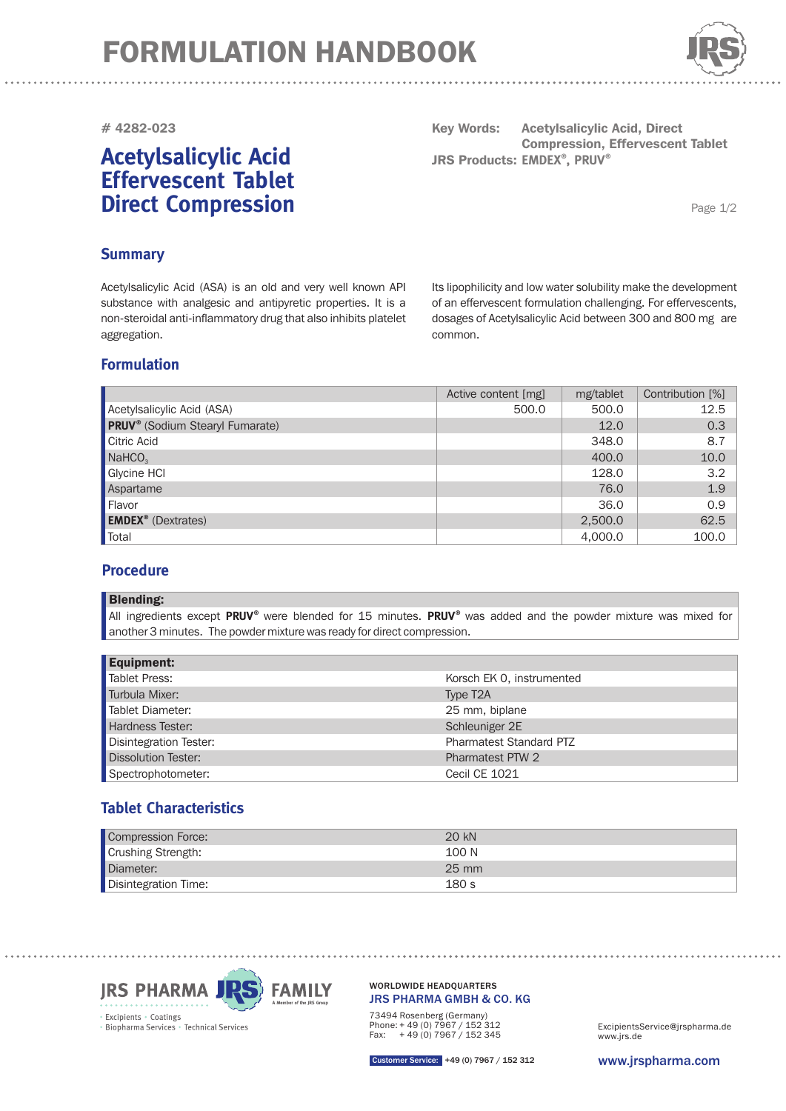

### **# 4282-023**

# **Acetylsalicylic Acid Effervescent Tablet Direct Compression**

**Key Words:**  $JRS$  Products: EMDEX<sup>®</sup>, PRUV<sup>®</sup> **Acetylsalicylic Acid, Direct Compression, Effervescent Tablet**

Page 1/2

## **Summary**

Acetylsalicylic Acid (ASA) is an old and very well known API substance with analgesic and antipyretic properties. It is a non-steroidal anti-inflammatory drug that also inhibits platelet aggregation.

Its lipophilicity and low water solubility make the development of an effervescent formulation challenging. For effervescents, dosages of Acetylsalicylic Acid between 300 and 800 mg are common.

## **Formulation**

|                                                    | Active content [mg] | mg/tablet | Contribution [%] |
|----------------------------------------------------|---------------------|-----------|------------------|
| Acetylsalicylic Acid (ASA)                         | 500.0               | 500.0     | 12.5             |
| <b>PRUV</b> <sup>®</sup> (Sodium Stearyl Fumarate) |                     | 12.0      | 0.3              |
| Citric Acid                                        |                     | 348.0     | 8.7              |
| NaHCO <sub>3</sub>                                 |                     | 400.0     | 10.0             |
| Glycine HCI                                        |                     | 128.0     | 3.2              |
| Aspartame                                          |                     | 76.0      | 1.9              |
| Flavor                                             |                     | 36.0      | 0.9              |
| <b>EMDEX<sup>®</sup></b> (Dextrates)               |                     | 2,500.0   | 62.5             |
| Total                                              |                     | 4,000.0   | 100.0            |

## **Procedure**

#### Blending:

All ingredients except PRUV<sup>®</sup> were blended for 15 minutes. PRUV<sup>®</sup> was added and the powder mixture was mixed for another 3 minutes. The powder mixture was ready for direct compression.

| <b>Equipment:</b>          |                           |
|----------------------------|---------------------------|
| <b>Tablet Press:</b>       | Korsch EK 0, instrumented |
| Turbula Mixer:             | Type T <sub>2</sub> A     |
| Tablet Diameter:           | 25 mm, biplane            |
| Hardness Tester:           | Schleuniger 2E            |
| Disintegration Tester:     | Pharmatest Standard PTZ   |
| <b>Dissolution Tester:</b> | Pharmatest PTW 2          |
| Spectrophotometer:         | <b>Cecil CE 1021</b>      |

## **Tablet Characteristics**

| Compression Force:   | $20 \text{ kN}$ |
|----------------------|-----------------|
| Crushing Strength:   | 100 N           |
| Diameter:            | $25 \text{ mm}$ |
| Disintegration Time: | 180 s           |



#### JRS PHARMA GMBH & CO. KG WORLDWIDE HEADQUARTERS

73494 Rosenberg (Germany) Phone: + 49 (0) 7967 / 152 312 Fax: + 49 (0) 7967 / 152 345

www.jrs.de ExcipientsService@jrspharma.de

www.jrspharma.com